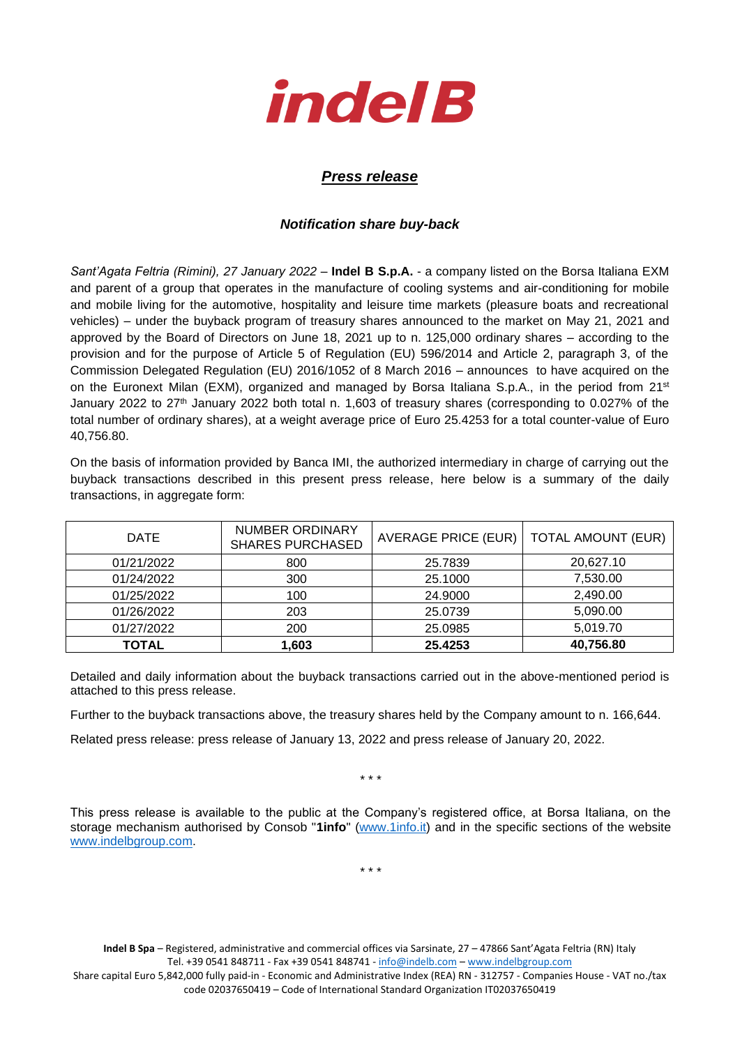

## *Press release*

## *Notification share buy-back*

*Sant'Agata Feltria (Rimini), 27 January 2022* – **Indel B S.p.A.** - a company listed on the Borsa Italiana EXM and parent of a group that operates in the manufacture of cooling systems and air-conditioning for mobile and mobile living for the automotive, hospitality and leisure time markets (pleasure boats and recreational vehicles) – under the buyback program of treasury shares announced to the market on May 21, 2021 and approved by the Board of Directors on June 18, 2021 up to n. 125,000 ordinary shares – according to the provision and for the purpose of Article 5 of Regulation (EU) 596/2014 and Article 2, paragraph 3, of the Commission Delegated Regulation (EU) 2016/1052 of 8 March 2016 – announces to have acquired on the on the Euronext Milan (EXM), organized and managed by Borsa Italiana S.p.A., in the period from 21<sup>st</sup> January 2022 to 27<sup>th</sup> January 2022 both total n. 1,603 of treasury shares (corresponding to 0.027% of the total number of ordinary shares), at a weight average price of Euro 25.4253 for a total counter-value of Euro 40,756.80.

On the basis of information provided by Banca IMI, the authorized intermediary in charge of carrying out the buyback transactions described in this present press release, here below is a summary of the daily transactions, in aggregate form:

| <b>DATE</b>  | NUMBER ORDINARY<br><b>SHARES PURCHASED</b> | AVERAGE PRICE (EUR) | <b>TOTAL AMOUNT (EUR)</b> |
|--------------|--------------------------------------------|---------------------|---------------------------|
| 01/21/2022   | 800                                        | 25.7839             | 20,627.10                 |
| 01/24/2022   | 300                                        | 25.1000             | 7,530.00                  |
| 01/25/2022   | 100                                        | 24.9000             | 2,490.00                  |
| 01/26/2022   | 203                                        | 25.0739             | 5,090.00                  |
| 01/27/2022   | 200                                        | 25.0985             | 5,019.70                  |
| <b>TOTAL</b> | 1,603                                      | 25.4253             | 40,756.80                 |

Detailed and daily information about the buyback transactions carried out in the above-mentioned period is attached to this press release.

Further to the buyback transactions above, the treasury shares held by the Company amount to n. 166,644.

Related press release: press release of January 13, 2022 and press release of January 20, 2022.

\* \* \*

This press release is available to the public at the Company's registered office, at Borsa Italiana, on the storage mechanism authorised by Consob "**1info**" [\(www.1info.it\)](file:///C:/Users/ddelietovollaro/AppData/Local/Microsoft/Windows/INetCache/Content.Outlook/T87B94UR/www.1info.it) and in the specific sections of the website [www.indelbgroup.com.](http://www.indelbgroup.com/)

\* \* \*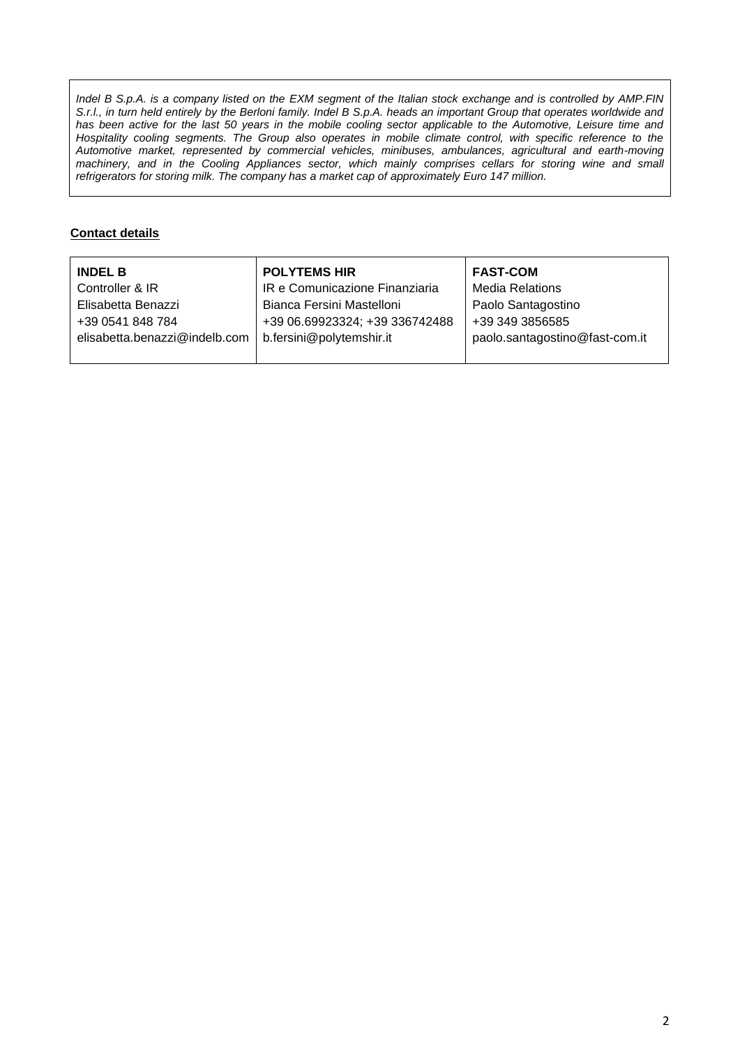*Indel B S.p.A. is a company listed on the EXM segment of the Italian stock exchange and is controlled by AMP.FIN S.r.l., in turn held entirely by the Berloni family. Indel B S.p.A. heads an important Group that operates worldwide and* has been active for the last 50 years in the mobile cooling sector applicable to the Automotive, Leisure time and Hospitality cooling segments. The Group also operates in mobile climate control, with specific reference to the *Automotive market, represented by commercial vehicles, minibuses, ambulances, agricultural and earth-moving machinery, and in the Cooling Appliances sector, which mainly comprises cellars for storing wine and small refrigerators for storing milk. The company has a market cap of approximately Euro 147 million.*

## **Contact details**

| <b>INDEL B</b>                | <b>POLYTEMS HIR</b>            | <b>FAST-COM</b>                |
|-------------------------------|--------------------------------|--------------------------------|
| Controller & IR               | IR e Comunicazione Finanziaria | <b>Media Relations</b>         |
| Elisabetta Benazzi            | Bianca Fersini Mastelloni      | Paolo Santagostino             |
| +39 0541 848 784              | +39 06.69923324; +39 336742488 | +39 349 3856585                |
| elisabetta.benazzi@indelb.com | b.fersini@polytemshir.it       | paolo.santagostino@fast-com.it |
|                               |                                |                                |